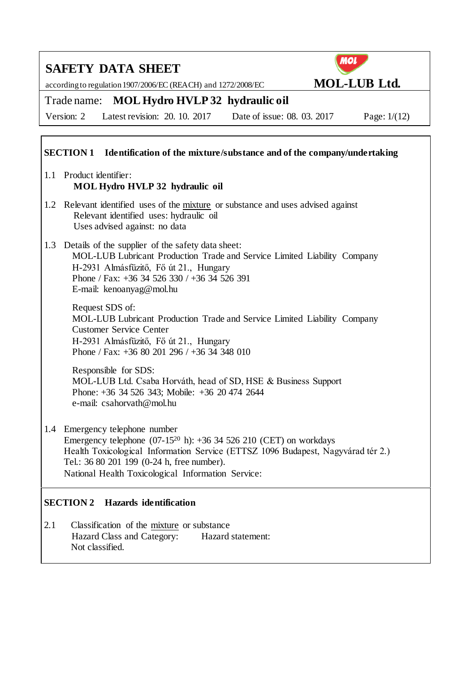according to regulation 1907/2006/EC (REACH) and 1272/2008/EC **MOL-LUB Ltd.** 



Trade name: **MOL Hydro HVLP 32 hydraulic oil**

Version: 2 Latest revision: 20. 10. 2017 Date of issue: 08. 03. 2017 Page: 1/(12)

### **SECTION 1 Identification of the mixture/substance and of the company/undertaking**

- 1.1 Product identifier: **MOL Hydro HVLP 32 hydraulic oil**
- 1.2 Relevant identified uses of the mixture or substance and uses advised against Relevant identified uses: hydraulic oil Uses advised against: no data
- 1.3 Details of the supplier of the safety data sheet: MOL-LUB Lubricant Production Trade and Service Limited Liability Company H-2931 Almásfüzitő, Fő út 21., Hungary Phone / Fax: +36 34 526 330 / +36 34 526 391 E-mail: kenoanyag@mol.hu

Request SDS of: MOL-LUB Lubricant Production Trade and Service Limited Liability Company Customer Service Center H-2931 Almásfüzitő, Fő út 21., Hungary Phone / Fax: +36 80 201 296 / +36 34 348 010

Responsible for SDS: MOL-LUB Ltd. Csaba Horváth, head of SD, HSE & Business Support Phone: +36 34 526 343; Mobile: +36 20 474 2644 e-mail: csahorvath@mol.hu

1.4 Emergency telephone number Emergency telephone  $(07-15^{20} h)$ : +36 34 526 210 (CET) on workdays Health Toxicological Information Service (ETTSZ 1096 Budapest, Nagyvárad tér 2.) Tel.: 36 80 201 199 (0-24 h, free number). National Health Toxicological Information Service:

### **SECTION 2 Hazards identification**

2.1 Classification of the mixture or substance Hazard Class and Category: Hazard statement: Not classified.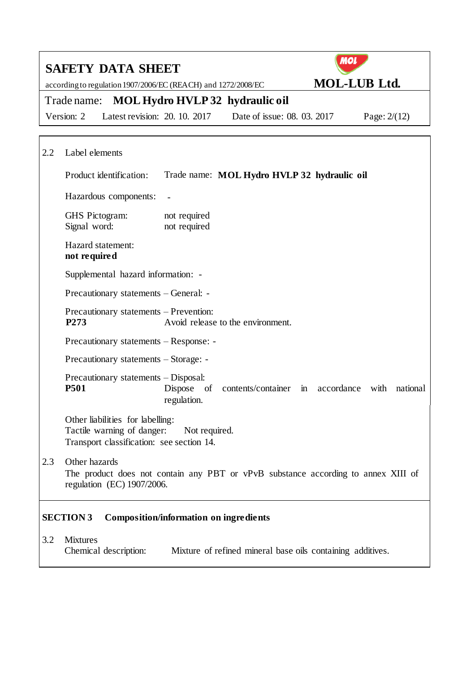|     | <b>MOL</b><br><b>SAFETY DATA SHEET</b>                                                                                                   |  |  |  |  |
|-----|------------------------------------------------------------------------------------------------------------------------------------------|--|--|--|--|
|     | <b>MOL-LUB Ltd.</b><br>according to regulation 1907/2006/EC (REACH) and 1272/2008/EC                                                     |  |  |  |  |
|     | Trade name: MOL Hydro HVLP 32 hydraulic oil                                                                                              |  |  |  |  |
|     | Latest revision: 20. 10. 2017<br>Date of issue: 08, 03, 2017<br>Version: 2<br>Page: $2/(12)$                                             |  |  |  |  |
|     |                                                                                                                                          |  |  |  |  |
| 2.2 | Label elements                                                                                                                           |  |  |  |  |
|     | Product identification:<br>Trade name: MOL Hydro HVLP 32 hydraulic oil                                                                   |  |  |  |  |
|     | Hazardous components:                                                                                                                    |  |  |  |  |
|     | <b>GHS</b> Pictogram:<br>not required<br>Signal word:<br>not required                                                                    |  |  |  |  |
|     | Hazard statement:<br>not required                                                                                                        |  |  |  |  |
|     | Supplemental hazard information: -                                                                                                       |  |  |  |  |
|     | Precautionary statements – General: -                                                                                                    |  |  |  |  |
|     | Precautionary statements – Prevention:<br>P <sub>273</sub><br>Avoid release to the environment.                                          |  |  |  |  |
|     | Precautionary statements – Response: -                                                                                                   |  |  |  |  |
|     | Precautionary statements – Storage: -                                                                                                    |  |  |  |  |
|     | Precautionary statements – Disposal:<br><b>P501</b><br>Dispose of<br>contents/container in accordance<br>national<br>with<br>regulation. |  |  |  |  |
|     | Other liabilities for labelling:<br>Tactile warning of danger:<br>Not required.<br>Transport classification: see section 14.             |  |  |  |  |
| 2.3 | Other hazards<br>The product does not contain any PBT or vPvB substance according to annex XIII of<br>regulation (EC) 1907/2006.         |  |  |  |  |
|     | <b>SECTION 3</b><br><b>Composition/information on ingredients</b>                                                                        |  |  |  |  |
| 3.2 | <b>Mixtures</b><br>Chemical description:<br>Mixture of refined mineral base oils containing additives.                                   |  |  |  |  |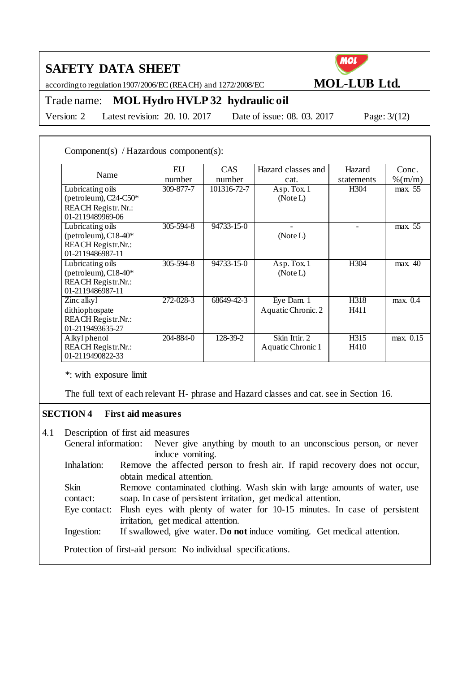according to regulation 1907/2006/EC (REACH) and 1272/2008/EC **MOL-LUB Ltd.** 



## Trade name: **MOL Hydro HVLP 32 hydraulic oil**

Version: 2 Latest revision: 20. 10. 2017 Date of issue: 08. 03. 2017 Page: 3/(12)

Component(s) / Hazardous component(s):

| Name                      | EU              | <b>CAS</b>       | Hazard classes and | Hazard     | Conc.                 |
|---------------------------|-----------------|------------------|--------------------|------------|-----------------------|
|                           | number          | number           | cat.               | statements | $\%$ (m/m)            |
| Lubricating oils          | 309-877-7       | 101316-72-7      | Asp.Tox.1          | H304       | max. 55               |
| (petroleum), $C24-C50*$   |                 |                  | (Note L)           |            |                       |
| REACH Registr. Nr.:       |                 |                  |                    |            |                       |
| 01-2119489969-06          |                 |                  |                    |            |                       |
| Lubricating oils          | $305 - 594 - 8$ | 94733-15-0       |                    |            | max. 55               |
| (petroleum), $C18-40*$    |                 |                  | (Note L)           |            |                       |
| REACH Registr.Nr.:        |                 |                  |                    |            |                       |
| 01-2119486987-11          |                 |                  |                    |            |                       |
| Lubricating oils          | $305 - 594 - 8$ | $94733 - 15 - 0$ | Asp. Tox. 1        | H304       | max. 40               |
| (petroleum), $C18-40*$    |                 |                  | (Note L)           |            |                       |
| REACH Registr.Nr.:        |                 |                  |                    |            |                       |
| 01-2119486987-11          |                 |                  |                    |            |                       |
| Zinc alkyl                | 272-028-3       | 68649-42-3       | Eye Dam. 1         | H318       | max. $0.\overline{4}$ |
| dithiophospate            |                 |                  | Aquatic Chronic. 2 | H411       |                       |
| <b>REACH Registr.Nr.:</b> |                 |                  |                    |            |                       |
| 01-2119493635-27          |                 |                  |                    |            |                       |
| Alkyl phenol              | 204-884-0       | 128-39-2         | Skin Ittir. 2      | H315       | max. 0.15             |
| REACH Registr.Nr.:        |                 |                  | Aquatic Chronic 1  | H410       |                       |
| 01-2119490822-33          |                 |                  |                    |            |                       |

\*: with exposure limit

The full text of each relevant H- phrase and Hazard classes and cat. see in Section 16.

### **SECTION 4 First aid measures**

4.1 Description of first aid measures

General information: Never give anything by mouth to an unconscious person, or never induce vomiting.

- Inhalation: Remove the affected person to fresh air. If rapid recovery does not occur, obtain medical attention.
- Skin contact: Remove contaminated clothing. Wash skin with large amounts of water, use soap. In case of persistent irritation, get medical attention.
- Eye contact: Flush eyes with plenty of water for 10-15 minutes. In case of persistent irritation, get medical attention.
- Ingestion: If swallowed, give water. D**o not** induce vomiting. Get medical attention.

Protection of first-aid person: No individual specifications.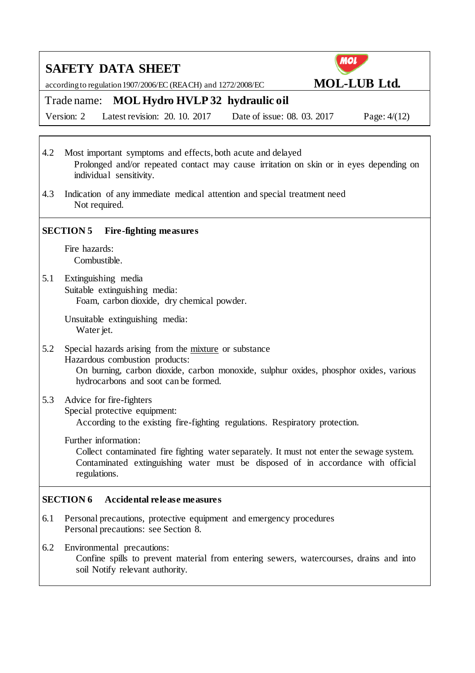according to regulation 1907/2006/EC (REACH) and 1272/2008/EC **MOL-LUB Ltd.** 



### Trade name: **MOL Hydro HVLP 32 hydraulic oil**

Version: 2 Latest revision: 20. 10. 2017 Date of issue: 08. 03. 2017 Page: 4/(12)

4.2 Most important symptoms and effects, both acute and delayed Prolonged and/or repeated contact may cause irritation on skin or in eyes depending on individual sensitivity.

4.3 Indication of any immediate medical attention and special treatment need Not required.

### **SECTION 5 Fire-fighting measures**

Fire hazards: Combustible.

5.1 Extinguishing media Suitable extinguishing media: Foam, carbon dioxide, dry chemical powder.

> Unsuitable extinguishing media: Water jet.

5.2 Special hazards arising from the mixture or substance Hazardous combustion products: On burning, carbon dioxide, carbon monoxide, sulphur oxides, phosphor oxides, various hydrocarbons and soot can be formed.

### 5.3 Advice for fire-fighters

Special protective equipment:

According to the existing fire-fighting regulations. Respiratory protection.

Further information:

Collect contaminated fire fighting water separately. It must not enter the sewage system. Contaminated extinguishing water must be disposed of in accordance with official regulations.

### **SECTION 6 Accidental release measures**

- 6.1 Personal precautions, protective equipment and emergency procedures Personal precautions: see Section 8.
- 6.2 Environmental precautions:

Confine spills to prevent material from entering sewers, watercourses, drains and into soil Notify relevant authority.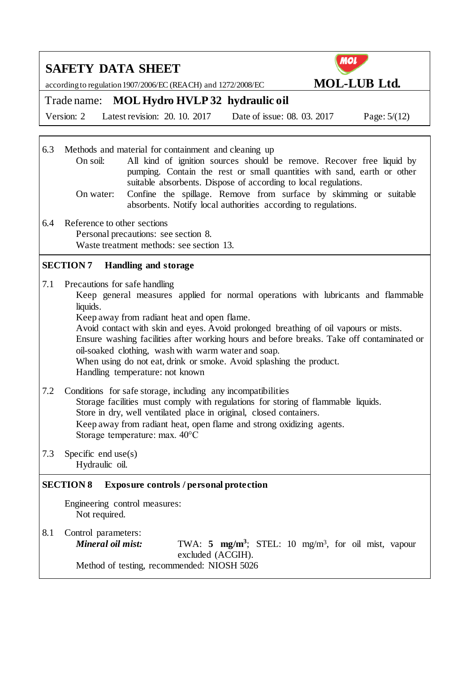|                                                                    | <b>SAFETY DATA SHEET</b>                                                                                                                                                                                                                                                                                                                                                                                                                                                                                                            | <b>MOL</b>          |  |
|--------------------------------------------------------------------|-------------------------------------------------------------------------------------------------------------------------------------------------------------------------------------------------------------------------------------------------------------------------------------------------------------------------------------------------------------------------------------------------------------------------------------------------------------------------------------------------------------------------------------|---------------------|--|
|                                                                    | according to regulation 1907/2006/EC (REACH) and 1272/2008/EC                                                                                                                                                                                                                                                                                                                                                                                                                                                                       | <b>MOL-LUB Ltd.</b> |  |
|                                                                    | Trade name: MOL Hydro HVLP 32 hydraulic oil                                                                                                                                                                                                                                                                                                                                                                                                                                                                                         |                     |  |
|                                                                    | Latest revision: 20. 10. 2017<br>Date of issue: 08. 03. 2017<br>Version: 2                                                                                                                                                                                                                                                                                                                                                                                                                                                          | Page: $5/(12)$      |  |
|                                                                    |                                                                                                                                                                                                                                                                                                                                                                                                                                                                                                                                     |                     |  |
| 6.3                                                                | Methods and material for containment and cleaning up<br>On soil:<br>All kind of ignition sources should be remove. Recover free liquid by<br>pumping. Contain the rest or small quantities with sand, earth or other<br>suitable absorbents. Dispose of according to local regulations.                                                                                                                                                                                                                                             |                     |  |
|                                                                    | Confine the spillage. Remove from surface by skimming or suitable<br>On water:<br>absorbents. Notify local authorities according to regulations.                                                                                                                                                                                                                                                                                                                                                                                    |                     |  |
| 6.4                                                                | Reference to other sections<br>Personal precautions: see section 8.                                                                                                                                                                                                                                                                                                                                                                                                                                                                 |                     |  |
|                                                                    | Waste treatment methods: see section 13.                                                                                                                                                                                                                                                                                                                                                                                                                                                                                            |                     |  |
|                                                                    | <b>SECTION 7</b><br><b>Handling and storage</b>                                                                                                                                                                                                                                                                                                                                                                                                                                                                                     |                     |  |
| 7.1                                                                | Precautions for safe handling<br>Keep general measures applied for normal operations with lubricants and flammable<br>liquids.<br>Keep away from radiant heat and open flame.<br>Avoid contact with skin and eyes. Avoid prolonged breathing of oil vapours or mists.<br>Ensure washing facilities after working hours and before breaks. Take off contaminated or<br>oil-soaked clothing, wash with warm water and soap.<br>When using do not eat, drink or smoke. Avoid splashing the product.<br>Handling temperature: not known |                     |  |
| 7.2                                                                | Conditions for safe storage, including any incompatibilities<br>Storage facilities must comply with regulations for storing of flammable liquids.<br>Store in dry, well ventilated place in original, closed containers.<br>Keep away from radiant heat, open flame and strong oxidizing agents.<br>Storage temperature: max. 40°C                                                                                                                                                                                                  |                     |  |
| 7.3                                                                | Specific end $use(s)$<br>Hydraulic oil.                                                                                                                                                                                                                                                                                                                                                                                                                                                                                             |                     |  |
| <b>SECTION 8</b><br><b>Exposure controls / personal protection</b> |                                                                                                                                                                                                                                                                                                                                                                                                                                                                                                                                     |                     |  |
|                                                                    | Engineering control measures:<br>Not required.                                                                                                                                                                                                                                                                                                                                                                                                                                                                                      |                     |  |
| 8.1                                                                | Control parameters:<br>Mineral oil mist:<br>TWA: 5 $mg/m^3$ ; STEL: 10 $mg/m^3$ , for oil mist, vapour<br>excluded (ACGIH).                                                                                                                                                                                                                                                                                                                                                                                                         |                     |  |
|                                                                    | Method of testing, recommended: NIOSH 5026                                                                                                                                                                                                                                                                                                                                                                                                                                                                                          |                     |  |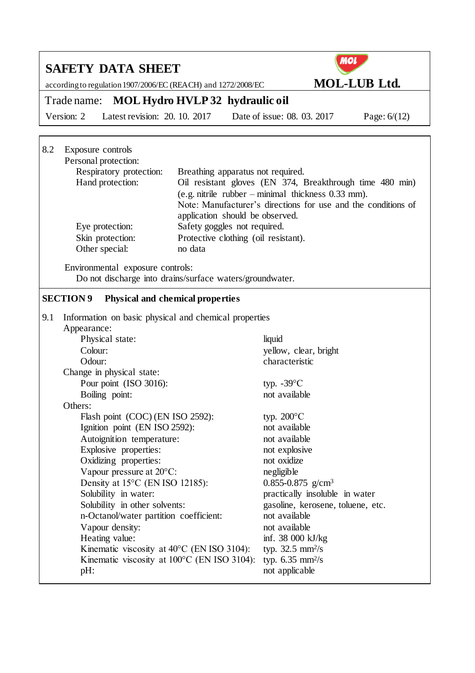### **MOL SAFETY DATA SHEET** according to regulation 1907/2006/EC (REACH) and 1272/2008/EC **MOL-LUB Ltd.** Trade name: **MOL Hydro HVLP 32 hydraulic oil** Version: 2 Latest revision: 20. 10. 2017 Date of issue: 08. 03. 2017 Page: 6/(12) 8.2 Exposure controls Personal protection: Respiratory protection: Breathing apparatus not required. Hand protection: Oil resistant gloves (EN 374, Breakthrough time 480 min) (e.g. nitrile rubber – minimal thickness 0.33 mm). Note: Manufacturer's directions for use and the conditions of application should be observed. Eye protection: Safety goggles not required. Skin protection: Protective clothing (oil resistant). Other special: no data Environmental exposure controls: Do not discharge into drains/surface waters/groundwater. **SECTION 9 Physical and chemical properties** 9.1 Information on basic physical and chemical properties Appearance: Physical state: liquid Colour: yellow, clear, bright Odour: characteristic Change in physical state: Pour point  $(ISO 3016)$ : typ.  $-39^{\circ}$ C Boiling point: not available Others: Flash point  $(COC)$  (EN ISO 2592): typ. 200 $\degree$ C Ignition point (EN ISO 2592): not available Autoignition temperature: not available Explosive properties: not explosive Oxidizing properties: not oxidize Vapour pressure at 20<sup>o</sup>C: negligible Density at 15<sup>o</sup>C (EN ISO 12185): 0.855-0.875 g/cm<sup>3</sup> Solubility in water: practically insoluble in water Solubility in other solvents: gasoline, kerosene, toluene, etc. n-Octanol/water partition coefficient: not available Vapour density: not available Heating value: inf. 38 000 kJ/kg Kinematic viscosity at  $40^{\circ}$ C (EN ISO 3104): typ.  $32.5 \text{ mm}^2/\text{s}$ Kinematic viscosity at  $100^{\circ}$ C (EN ISO 3104): typ.  $6.35 \text{ mm}^2/\text{s}$ pH: not applicable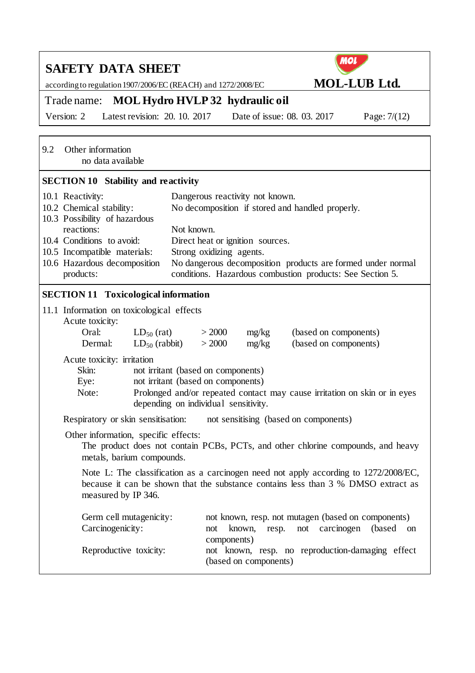| <b>SAFETY DATA SHEET</b>                                                                                                                                                                                                                                                                                                                                                   | <b>MOL</b>                                                                                                               |  |  |  |  |
|----------------------------------------------------------------------------------------------------------------------------------------------------------------------------------------------------------------------------------------------------------------------------------------------------------------------------------------------------------------------------|--------------------------------------------------------------------------------------------------------------------------|--|--|--|--|
| according to regulation 1907/2006/EC (REACH) and 1272/2008/EC                                                                                                                                                                                                                                                                                                              | <b>MOL-LUB Ltd.</b>                                                                                                      |  |  |  |  |
| Trade name: MOL Hydro HVLP 32 hydraulic oil                                                                                                                                                                                                                                                                                                                                |                                                                                                                          |  |  |  |  |
| Latest revision: 20. 10. 2017<br>Version: 2                                                                                                                                                                                                                                                                                                                                | Date of issue: 08. 03. 2017<br>Page: $7/(12)$                                                                            |  |  |  |  |
| 9.2<br>Other information<br>no data available                                                                                                                                                                                                                                                                                                                              |                                                                                                                          |  |  |  |  |
| <b>SECTION 10 Stability and reactivity</b>                                                                                                                                                                                                                                                                                                                                 |                                                                                                                          |  |  |  |  |
| 10.1 Reactivity:<br>Dangerous reactivity not known.<br>10.2 Chemical stability:<br>No decomposition if stored and handled properly.<br>10.3 Possibility of hazardous<br>reactions:<br>Not known.<br>10.4 Conditions to avoid:<br>Direct heat or ignition sources.<br>10.5 Incompatible materials:<br>Strong oxidizing agents.<br>10.6 Hazardous decomposition<br>products: | No dangerous decomposition products are formed under normal<br>conditions. Hazardous combustion products: See Section 5. |  |  |  |  |
| <b>SECTION 11 Toxicological information</b>                                                                                                                                                                                                                                                                                                                                |                                                                                                                          |  |  |  |  |
| 11.1 Information on toxicological effects<br>Acute toxicity:<br>> 2000<br>Oral:<br>$LD_{50}$ (rat)<br>mg/kg<br>> 2000<br>Dermal:<br>$LD_{50}$ (rabbit)<br>mg/kg                                                                                                                                                                                                            | (based on components)<br>(based on components)                                                                           |  |  |  |  |
| Acute toxicity: irritation<br>Skin:<br>not irritant (based on components)<br>not irritant (based on components)<br>Eye:<br>Prolonged and/or repeated contact may cause irritation on skin or in eyes<br>Note:<br>depending on individual sensitivity.                                                                                                                      |                                                                                                                          |  |  |  |  |
| Respiratory or skin sensitisation:<br>not sensitising (based on components)                                                                                                                                                                                                                                                                                                |                                                                                                                          |  |  |  |  |
| Other information, specific effects:<br>The product does not contain PCBs, PCTs, and other chlorine compounds, and heavy<br>metals, barium compounds.                                                                                                                                                                                                                      |                                                                                                                          |  |  |  |  |
| Note L: The classification as a carcinogen need not apply according to 1272/2008/EC,<br>because it can be shown that the substance contains less than 3 % DMSO extract as<br>measured by IP 346.                                                                                                                                                                           |                                                                                                                          |  |  |  |  |
| Germ cell mutagenicity:<br>Carcinogenicity:<br>known,<br>not<br>components)                                                                                                                                                                                                                                                                                                | not known, resp. not mutagen (based on components)<br>carcinogen<br>(based)<br>resp.<br>not<br>on                        |  |  |  |  |
| Reproductive toxicity:<br>(based on components)                                                                                                                                                                                                                                                                                                                            | not known, resp. no reproduction-damaging effect                                                                         |  |  |  |  |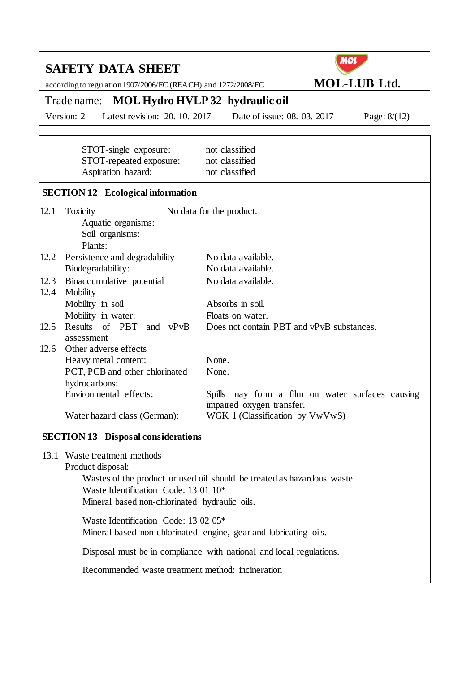|      | <b>MOL</b><br><b>SAFETY DATA SHEET</b>                                 |                                                                               |  |  |  |
|------|------------------------------------------------------------------------|-------------------------------------------------------------------------------|--|--|--|
|      | according to regulation 1907/2006/EC (REACH) and 1272/2008/EC          | <b>MOL-LUB Ltd.</b>                                                           |  |  |  |
|      | <b>MOL Hydro HVLP 32 hydraulic oil</b><br>Trade name:                  |                                                                               |  |  |  |
|      | Latest revision: 20. 10. 2017<br>Version: 2                            | Date of issue: 08. 03. 2017<br>Page: $8/(12)$                                 |  |  |  |
|      |                                                                        |                                                                               |  |  |  |
|      | STOT-single exposure:<br>STOT-repeated exposure:<br>Aspiration hazard: | not classified<br>not classified<br>not classified                            |  |  |  |
|      | <b>SECTION 12</b> Ecological information                               |                                                                               |  |  |  |
| 12.1 | Toxicity<br>Aquatic organisms:<br>Soil organisms:<br>Plants:           | No data for the product.                                                      |  |  |  |
| 12.2 | Persistence and degradability                                          | No data available.                                                            |  |  |  |
|      | Biodegradability:                                                      | No data available.                                                            |  |  |  |
| 12.3 | Bioaccumulative potential                                              | No data available.                                                            |  |  |  |
| 12.4 | Mobility<br>Mobility in soil                                           | Absorbs in soil.                                                              |  |  |  |
|      | Mobility in water:                                                     | Floats on water.                                                              |  |  |  |
| 12.5 | Results of PBT<br>and vPvB<br>assessment                               | Does not contain PBT and vPvB substances.                                     |  |  |  |
| 12.6 | Other adverse effects                                                  |                                                                               |  |  |  |
|      | Heavy metal content:                                                   | None.                                                                         |  |  |  |
|      | PCT, PCB and other chlorinated                                         | None.                                                                         |  |  |  |
|      | hydrocarbons:<br>Environmental effects:                                |                                                                               |  |  |  |
|      |                                                                        | Spills may form a film on water surfaces causing<br>impaired oxygen transfer. |  |  |  |
|      | Water hazard class (German):                                           | WGK 1 (Classification by VwVwS)                                               |  |  |  |
|      | <b>SECTION 13 Disposal considerations</b>                              |                                                                               |  |  |  |
|      | 13.1 Waste treatment methods                                           |                                                                               |  |  |  |

Product disposal:

Wastes of the product or used oil should be treated as hazardous waste. Waste Identification Code: 13 01 10\*

Mineral based non-chlorinated hydraulic oils.

Waste Identification Code: 13 02 05\* Mineral-based non-chlorinated engine, gear and lubricating oils.

Disposal must be in compliance with national and local regulations.

Recommended waste treatment method: incineration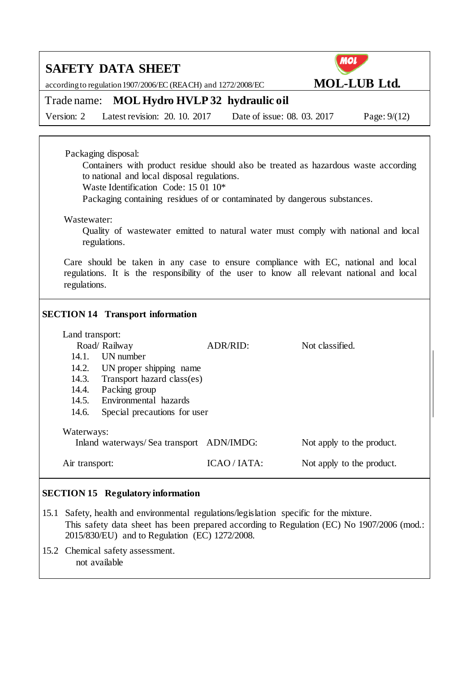according to regulation 1907/2006/EC (REACH) and 1272/2008/EC **MOL-LUB Ltd.** 



### Trade name: **MOL Hydro HVLP 32 hydraulic oil**

Version: 2 Latest revision: 20. 10. 2017 Date of issue: 08. 03. 2017 Page: 9/(12)

### Packaging disposal:

Containers with product residue should also be treated as hazardous waste according to national and local disposal regulations.

Waste Identification Code: 15 01 10\*

Packaging containing residues of or contaminated by dangerous substances.

#### Wastewater:

Quality of wastewater emitted to natural water must comply with national and local regulations.

Care should be taken in any case to ensure compliance with EC, national and local regulations. It is the responsibility of the user to know all relevant national and local regulations.

### **SECTION 14 Transport information**

|                | Land transport:                                                                     |            |                           |  |  |  |
|----------------|-------------------------------------------------------------------------------------|------------|---------------------------|--|--|--|
|                | Road/Railway                                                                        | ADR/RID:   | Not classified.           |  |  |  |
| 14.1           | UN number                                                                           |            |                           |  |  |  |
| 14.2.          | UN proper shipping name                                                             |            |                           |  |  |  |
| 14.3.          | Transport hazard class(es)                                                          |            |                           |  |  |  |
| 14.4.          | Packing group                                                                       |            |                           |  |  |  |
|                | 14.5. Environmental hazards                                                         |            |                           |  |  |  |
| 14.6.          | Special precautions for user                                                        |            |                           |  |  |  |
|                | Waterways:<br>Inland waterways/Sea transport ADN/IMDG:<br>Not apply to the product. |            |                           |  |  |  |
| Air transport: |                                                                                     | ICAO/IATA: | Not apply to the product. |  |  |  |

### **SECTION 15 Regulatory information**

15.1 Safety, health and environmental regulations/legislation specific for the mixture. This safety data sheet has been prepared according to Regulation (EC) No 1907/2006 (mod.: 2015/830/EU) and to Regulation (EC) 1272/2008.

15.2 Chemical safety assessment. not available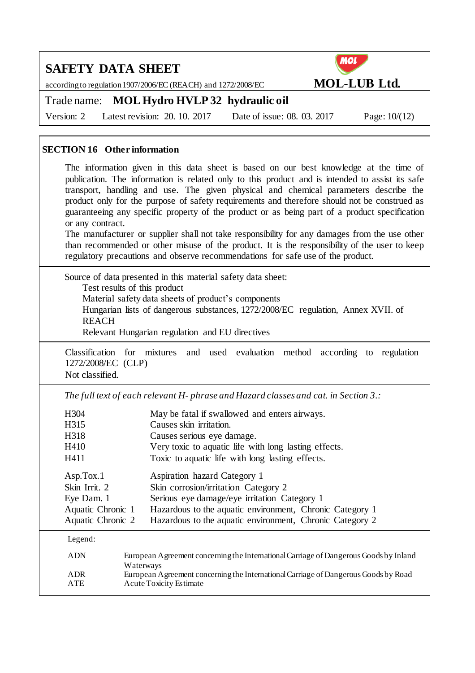according to regulation 1907/2006/EC (REACH) and 1272/2008/EC **MOL-LUB Ltd.** 



Trade name: **MOL Hydro HVLP 32 hydraulic oil**

Version: 2 Latest revision: 20. 10. 2017 Date of issue: 08. 03. 2017 Page: 10/(12)

### **SECTION 16 Other information**

The information given in this data sheet is based on our best knowledge at the time of publication. The information is related only to this product and is intended to assist its safe transport, handling and use. The given physical and chemical parameters describe the product only for the purpose of safety requirements and therefore should not be construed as guaranteeing any specific property of the product or as being part of a product specification or any contract.

The manufacturer or supplier shall not take responsibility for any damages from the use other than recommended or other misuse of the product. It is the responsibility of the user to keep regulatory precautions and observe recommendations for safe use of the product.

Source of data presented in this material safety data sheet: Test results of this product Material safety data sheets of product's components Hungarian lists of dangerous substances, 1272/2008/EC regulation, Annex XVII. of **REACH** Relevant Hungarian regulation and EU directives

Classification for mixtures and used evaluation method according to regulation 1272/2008/EC (CLP) Not classified.

*The full text of each relevant H- phrase and Hazard classes and cat. in Section 3.:*

| H304<br>H315                                                                       | May be fatal if swallowed and enters airways.<br>Causes skin irritation.                                                                                                                                                                     |
|------------------------------------------------------------------------------------|----------------------------------------------------------------------------------------------------------------------------------------------------------------------------------------------------------------------------------------------|
| H318                                                                               | Causes serious eye damage.                                                                                                                                                                                                                   |
| H410                                                                               | Very toxic to aquatic life with long lasting effects.                                                                                                                                                                                        |
| H411                                                                               | Toxic to aquatic life with long lasting effects.                                                                                                                                                                                             |
| Asp.Tox.1<br>Skin Irrit. 2<br>Eye Dam. 1<br>Aquatic Chronic 1<br>Aquatic Chronic 2 | Aspiration hazard Category 1<br>Skin corrosion/irritation Category 2<br>Serious eye damage/eye irritation Category 1<br>Hazardous to the aquatic environment, Chronic Category 1<br>Hazardous to the aquatic environment, Chronic Category 2 |

Legend:

| <b>ADN</b> | European Agreement concerning the International Carriage of Dangerous Goods by Inland |
|------------|---------------------------------------------------------------------------------------|
|            | <b>Waterways</b>                                                                      |
| A DR       | European Agreement concerning the International Carriage of Dangerous Goods by Road   |
| ATE.       | <b>Acute Toxicity Estimate</b>                                                        |
|            |                                                                                       |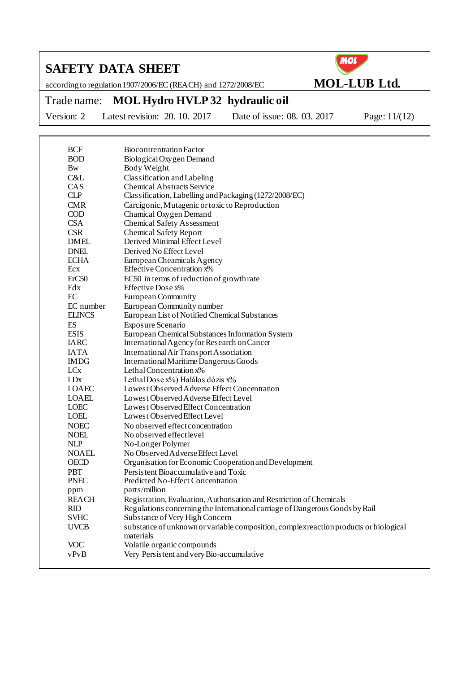according to regulation 1907/2006/EC (REACH) and 1272/2008/EC **MOL-LUB Ltd.**



Trade name: **MOL Hydro HVLP 32 hydraulic oil**

Version: 2 Latest revision: 20. 10. 2017 Date of issue: 08. 03. 2017 Page: 11/(12)

| <b>BCF</b>      | Biocontrentration Factor                                                                                       |
|-----------------|----------------------------------------------------------------------------------------------------------------|
| <b>BOD</b>      | Biological Oxygen Demand                                                                                       |
| <b>Bw</b>       | Body Weight                                                                                                    |
| C&L             | Classification and Labeling                                                                                    |
| CAS             | <b>Chemical Abstracts Service</b>                                                                              |
| <b>CLP</b>      | Classification, Labelling and Packaging (1272/2008/EC)                                                         |
| <b>CMR</b>      | Carcigonic, Mutagenic or toxic to Reproduction                                                                 |
| <b>COD</b>      | Chamical Oxygen Demand                                                                                         |
| <b>CSA</b>      | <b>Chemical Safety Assessment</b>                                                                              |
| <b>CSR</b>      | <b>Chemical Safety Report</b>                                                                                  |
| <b>DMEL</b>     | Derived Minimal Effect Level                                                                                   |
| <b>DNEL</b>     | Derived No Effect Level                                                                                        |
| <b>ECHA</b>     | European Cheamicals Agency                                                                                     |
| Ecx             | <b>Effective Concentration x%</b>                                                                              |
| ErC50           | EC50 in terms of reduction of growth rate                                                                      |
| Edx             | Effective Dose x%                                                                                              |
| EC              | European Community                                                                                             |
| EC number       | European Community number                                                                                      |
| <b>ELINCS</b>   | European List of Notified Chemical Substances                                                                  |
| ES              | Exposure Scenario                                                                                              |
| <b>ESIS</b>     | European Chemical Substances Information System                                                                |
| <b>IARC</b>     | International Agency for Research on Cancer                                                                    |
| <b>IATA</b>     | International Air Transport Association                                                                        |
| <b>IMDG</b>     | <b>International Maritime Dangerous Goods</b>                                                                  |
| LC <sub>x</sub> | Lethal Concentration x%                                                                                        |
| LD <sub>x</sub> | Lethal Dose x%) Halálos dózis x%                                                                               |
| LOAEC           | Lowest Observed Adverse Effect Concentration                                                                   |
| <b>LOAEL</b>    | Lowest Observed Adverse Effect Level                                                                           |
| <b>LOEC</b>     | Lowest Observed Effect Concentration                                                                           |
| LOEL            | Lowest Observed Effect Level                                                                                   |
| <b>NOEC</b>     | No observed effect concentration                                                                               |
| <b>NOEL</b>     | No observed effect level                                                                                       |
| <b>NLP</b>      | No-Longer Polymer                                                                                              |
| <b>NOAEL</b>    | No Observed Adverse Effect Level                                                                               |
| <b>OECD</b>     | Organisation for Economic Cooperation and Development                                                          |
| <b>PBT</b>      | Persistent Bioaccumulative and Toxic                                                                           |
| <b>PNEC</b>     | Predicted No-Effect Concentration                                                                              |
| ppm             | parts/million                                                                                                  |
| <b>REACH</b>    | Registration, Evaluation, Authorisation and Restriction of Chemicals                                           |
| RID             | Regulations concerning the International carriage of Dangerous Goods by Rail<br>Substance of Very High Concern |
| <b>SVHC</b>     |                                                                                                                |
| <b>UVCB</b>     | substance of unknown or variable composition, complex reaction products or biological<br>materials             |
| <b>VOC</b>      | Volatile organic compounds                                                                                     |
| vPvB            | Very Persistent and very Bio-accumulative                                                                      |
|                 |                                                                                                                |
|                 |                                                                                                                |